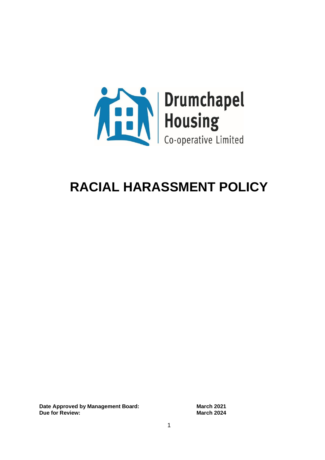

# **RACIAL HARASSMENT POLICY**

**Date Approved by Management Board:** March 2021 **Due for Review: March 2024**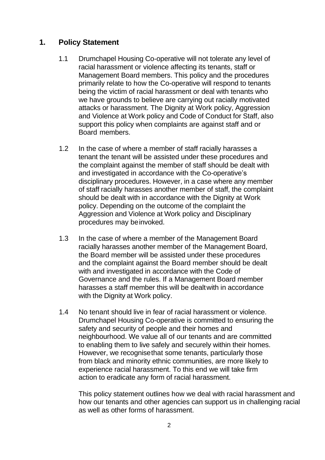# **1. Policy Statement**

- 1.1 Drumchapel Housing Co-operative will not tolerate any level of racial harassment or violence affecting its tenants, staff or Management Board members. This policy and the procedures primarily relate to how the Co-operative will respond to tenants being the victim of racial harassment or deal with tenants who we have grounds to believe are carrying out racially motivated attacks or harassment. The Dignity at Work policy, Aggression and Violence at Work policy and Code of Conduct for Staff, also support this policy when complaints are against staff and or Board members.
- 1.2 In the case of where a member of staff racially harasses a tenant the tenant will be assisted under these procedures and the complaint against the member of staff should be dealt with and investigated in accordance with the Co-operative's disciplinary procedures. However, in a case where any member of staff racially harasses another member of staff, the complaint should be dealt with in accordance with the Dignity at Work policy. Depending on the outcome of the complaint the Aggression and Violence at Work policy and Disciplinary procedures may beinvoked.
- 1.3 In the case of where a member of the Management Board racially harasses another member of the Management Board, the Board member will be assisted under these procedures and the complaint against the Board member should be dealt with and investigated in accordance with the Code of Governance and the rules. If a Management Board member harasses a staff member this will be dealtwith in accordance with the Dignity at Work policy.
- 1.4 No tenant should live in fear of racial harassment or violence. Drumchapel Housing Co-operative is committed to ensuring the safety and security of people and their homes and neighbourhood. We value all of our tenants and are committed to enabling them to live safely and securely within their homes. However, we recognisethat some tenants, particularly those from black and minority ethnic communities, are more likely to experience racial harassment. To this end we will take firm action to eradicate any form of racial harassment.

This policy statement outlines how we deal with racial harassment and how our tenants and other agencies can support us in challenging racial as well as other forms of harassment.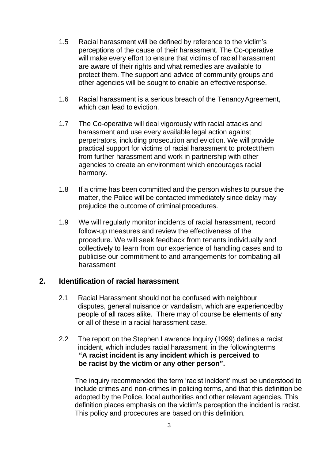- 1.5 Racial harassment will be defined by reference to the victim's perceptions of the cause of their harassment. The Co-operative will make every effort to ensure that victims of racial harassment are aware of their rights and what remedies are available to protect them. The support and advice of community groups and other agencies will be sought to enable an effectiveresponse.
- 1.6 Racial harassment is a serious breach of the TenancyAgreement, which can lead to eviction.
- 1.7 The Co-operative will deal vigorously with racial attacks and harassment and use every available legal action against perpetrators, including prosecution and eviction. We will provide practical support for victims of racial harassment to protectthem from further harassment and work in partnership with other agencies to create an environment which encourages racial harmony.
- 1.8 If a crime has been committed and the person wishes to pursue the matter, the Police will be contacted immediately since delay may prejudice the outcome of criminal procedures.
- 1.9 We will regularly monitor incidents of racial harassment, record follow-up measures and review the effectiveness of the procedure. We will seek feedback from tenants individually and collectively to learn from our experience of handling cases and to publicise our commitment to and arrangements for combating all harassment

## **2. Identification of racial harassment**

- 2.1 Racial Harassment should not be confused with neighbour disputes, general nuisance or vandalism, which are experiencedby people of all races alike. There may of course be elements of any or all of these in a racial harassment case.
- 2.2 The report on the Stephen Lawrence Inquiry (1999) defines a racist incident, which includes racial harassment, in the followingterms **"A racist incident is any incident which is perceived to be racist by the victim or any other person".**

The inquiry recommended the term 'racist incident' must be understood to include crimes and non-crimes in policing terms, and that this definition be adopted by the Police, local authorities and other relevant agencies. This definition places emphasis on the victim's perception the incident is racist. This policy and procedures are based on this definition.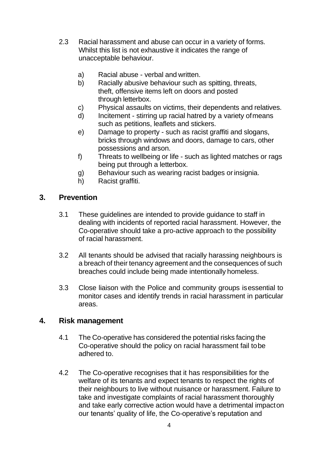- 2.3 Racial harassment and abuse can occur in a variety of forms. Whilst this list is not exhaustive it indicates the range of unacceptable behaviour.
	- a) Racial abuse verbal and written.
	- b) Racially abusive behaviour such as spitting, threats, theft, offensive items left on doors and posted through letterbox.
	- c) Physical assaults on victims, their dependents and relatives.
	- d) Incitement stirring up racial hatred by a variety ofmeans such as petitions, leaflets and stickers.
	- e) Damage to property such as racist graffiti and slogans, bricks through windows and doors, damage to cars, other possessions and arson.
	- f) Threats to wellbeing or life such as lighted matches or rags being put through a letterbox.
	- g) Behaviour such as wearing racist badges or insignia.
	- h) Racist graffiti.

## **3. Prevention**

- 3.1 These guidelines are intended to provide guidance to staff in dealing with incidents of reported racial harassment. However, the Co-operative should take a pro-active approach to the possibility of racial harassment.
- 3.2 All tenants should be advised that racially harassing neighbours is a breach of their tenancy agreement and the consequences of such breaches could include being made intentionally homeless.
- 3.3 Close liaison with the Police and community groups isessential to monitor cases and identify trends in racial harassment in particular areas.

## **4. Risk management**

- 4.1 The Co-operative has considered the potential risks facing the Co-operative should the policy on racial harassment fail tobe adhered to.
- 4.2 The Co-operative recognises that it has responsibilities for the welfare of its tenants and expect tenants to respect the rights of their neighbours to live without nuisance or harassment. Failure to take and investigate complaints of racial harassment thoroughly and take early corrective action would have a detrimental impacton our tenants' quality of life, the Co-operative's reputation and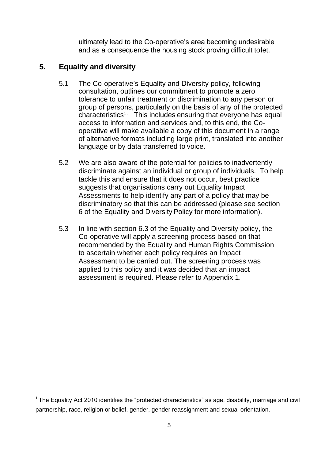ultimately lead to the Co-operative's area becoming undesirable and as a consequence the housing stock proving difficult tolet.

# **5. Equality and diversity**

- 5.1 The Co-operative's Equality and Diversity policy, following consultation, outlines our commitment to promote a zero tolerance to unfair treatment or discrimination to any person or group of persons, particularly on the basis of any of the protected  $characteristics<sup>1</sup>$ . This includes ensuring that everyone has equal access to information and services and, to this end, the Cooperative will make available a copy of this document in a range of alternative formats including large print, translated into another language or by data transferred to voice.
- 5.2 We are also aware of the potential for policies to inadvertently discriminate against an individual or group of individuals. To help tackle this and ensure that it does not occur, best practice suggests that organisations carry out Equality Impact Assessments to help identify any part of a policy that may be discriminatory so that this can be addressed (please see section 6 of the Equality and Diversity Policy for more information).
- 5.3 In line with section 6.3 of the Equality and Diversity policy, the Co-operative will apply a screening process based on that recommended by the Equality and Human Rights Commission to ascertain whether each policy requires an Impact Assessment to be carried out. The screening process was applied to this policy and it was decided that an impact assessment is required. Please refer to Appendix 1.

 $1$ The Equality Act 2010 identifies the "protected characteristics" as age, disability, marriage and civil partnership, race, religion or belief, gender, gender reassignment and sexual orientation.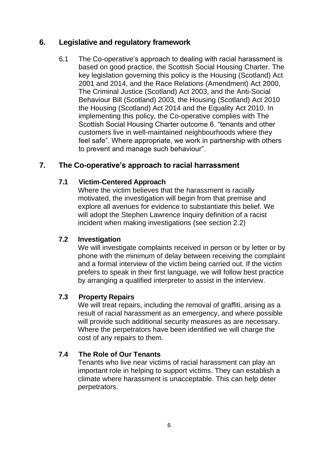# **6. Legislative and regulatory framework**

6.1 The Co-operative's approach to dealing with racial harassment is based on good practice, the Scottish Social Housing Charter. The key legislation governing this policy is the Housing (Scotland) Act 2001 and 2014, and the Race Relations (Amendment) Act 2000, The Criminal Justice (Scotland) Act 2003, and the Anti-Social Behaviour Bill (Scotland) 2003, the Housing (Scotland) Act 2010 the Housing (Scotland) Act 2014 and the Equality Act 2010. In implementing this policy, the Co-operative complies with The Scottish Social Housing Charter outcome 6. "tenants and other customers live in well-maintained neighbourhoods where they feel safe". Where appropriate, we work in partnership with others to prevent and manage such behaviour".

# **7. The Co-operative's approach to racial harrassment**

# **7.1 Victim-Centered Approach**

Where the victim believes that the harassment is racially motivated, the investigation will begin from that premise and explore all avenues for evidence to substantiate this belief. We will adopt the Stephen Lawrence Inquiry definition of a racist incident when making investigations (see section 2.2)

## **7.2 Investigation**

We will investigate complaints received in person or by letter or by phone with the minimum of delay between receiving the complaint and a formal interview of the victim being carried out. If the victim prefers to speak in their first language, we will follow best practice by arranging a qualified interpreter to assist in the interview.

## **7.3 Property Repairs**

We will treat repairs, including the removal of graffiti, arising as a result of racial harassment as an emergency, and where possible will provide such additional security measures as are necessary. Where the perpetrators have been identified we will charge the cost of any repairs to them.

## **7.4 The Role of Our Tenants**

Tenants who live near victims of racial harassment can play an important role in helping to support victims. They can establish a climate where harassment is unacceptable. This can help deter perpetrators.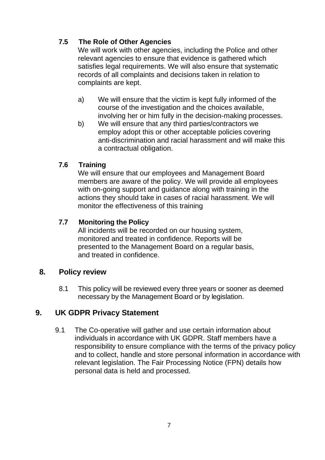# **7.5 The Role of Other Agencies**

We will work with other agencies, including the Police and other relevant agencies to ensure that evidence is gathered which satisfies legal requirements. We will also ensure that systematic records of all complaints and decisions taken in relation to complaints are kept.

- a) We will ensure that the victim is kept fully informed of the course of the investigation and the choices available, involving her or him fully in the decision-making processes.
- b) We will ensure that any third parties/contractors we employ adopt this or other acceptable policies covering anti-discrimination and racial harassment and will make this a contractual obligation.

# **7.6 Training**

We will ensure that our employees and Management Board members are aware of the policy. We will provide all employees with on-going support and guidance along with training in the actions they should take in cases of racial harassment. We will monitor the effectiveness of this training

# **7.7 Monitoring the Policy**

All incidents will be recorded on our housing system, monitored and treated in confidence. Reports will be presented to the Management Board on a regular basis, and treated in confidence.

# **8. Policy review**

8.1 This policy will be reviewed every three years or sooner as deemed necessary by the Management Board or by legislation.

# **9. UK GDPR Privacy Statement**

9.1 The Co-operative will gather and use certain information about individuals in accordance with UK GDPR. Staff members have a responsibility to ensure compliance with the terms of the privacy policy and to collect, handle and store personal information in accordance with relevant legislation. The Fair Processing Notice (FPN) details how personal data is held and processed.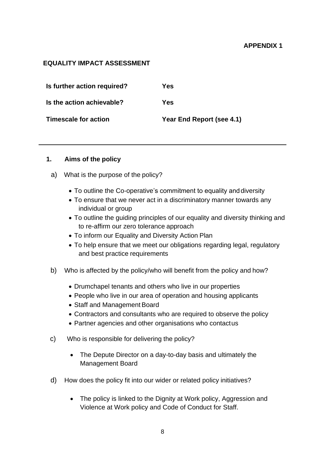#### **APPENDIX 1**

#### **EQUALITY IMPACT ASSESSMENT**

| Is further action required? | Yes                       |
|-----------------------------|---------------------------|
| Is the action achievable?   | Yes                       |
| <b>Timescale for action</b> | Year End Report (see 4.1) |

#### **1. Aims of the policy**

- a) What is the purpose of the policy?
	- To outline the Co-operative's commitment to equality anddiversity
	- To ensure that we never act in a discriminatory manner towards any individual or group
	- To outline the guiding principles of our equality and diversity thinking and to re-affirm our zero tolerance approach
	- To inform our Equality and Diversity Action Plan
	- To help ensure that we meet our obligations regarding legal, regulatory and best practice requirements
- b) Who is affected by the policy/who will benefit from the policy and how?
	- Drumchapel tenants and others who live in our properties
	- People who live in our area of operation and housing applicants
	- Staff and Management Board
	- Contractors and consultants who are required to observe the policy
	- Partner agencies and other organisations who contactus
- c) Who is responsible for delivering the policy?
	- The Depute Director on a day-to-day basis and ultimately the Management Board
- d) How does the policy fit into our wider or related policy initiatives?
	- The policy is linked to the Dignity at Work policy, Aggression and Violence at Work policy and Code of Conduct for Staff.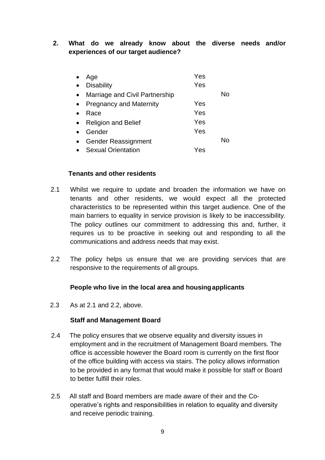#### **2. What do we already know about the diverse needs and/or experiences of our target audience?**

| Age                            | Yes |    |
|--------------------------------|-----|----|
| <b>Disability</b>              | Yes |    |
| Marriage and Civil Partnership |     | N٥ |
| <b>Pregnancy and Maternity</b> | Yes |    |
| Race                           | Yes |    |
| <b>Religion and Belief</b>     | Yes |    |
| Gender                         | Yes |    |
| <b>Gender Reassignment</b>     |     | N٥ |
| <b>Sexual Orientation</b>      | Yes |    |

#### **Tenants and other residents**

- 2.1 Whilst we require to update and broaden the information we have on tenants and other residents, we would expect all the protected characteristics to be represented within this target audience. One of the main barriers to equality in service provision is likely to be inaccessibility. The policy outlines our commitment to addressing this and, further, it requires us to be proactive in seeking out and responding to all the communications and address needs that may exist.
- 2.2 The policy helps us ensure that we are providing services that are responsive to the requirements of all groups.

#### **People who live in the local area and housingapplicants**

2.3 As at 2.1 and 2.2, above.

#### **Staff and Management Board**

- 2.4 The policy ensures that we observe equality and diversity issues in employment and in the recruitment of Management Board members. The office is accessible however the Board room is currently on the first floor of the office building with access via stairs. The policy allows information to be provided in any format that would make it possible for staff or Board to better fulfill their roles.
- 2.5 All staff and Board members are made aware of their and the Cooperative's rights and responsibilities in relation to equality and diversity and receive periodic training.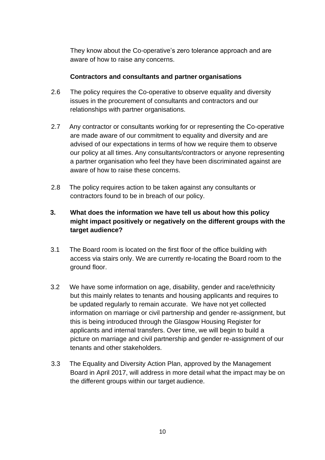They know about the Co-operative's zero tolerance approach and are aware of how to raise any concerns.

#### **Contractors and consultants and partner organisations**

- 2.6 The policy requires the Co-operative to observe equality and diversity issues in the procurement of consultants and contractors and our relationships with partner organisations.
- 2.7 Any contractor or consultants working for or representing the Co-operative are made aware of our commitment to equality and diversity and are advised of our expectations in terms of how we require them to observe our policy at all times. Any consultants/contractors or anyone representing a partner organisation who feel they have been discriminated against are aware of how to raise these concerns.
- 2.8 The policy requires action to be taken against any consultants or contractors found to be in breach of our policy.

## **3. What does the information we have tell us about how this policy might impact positively or negatively on the different groups with the target audience?**

- 3.1 The Board room is located on the first floor of the office building with access via stairs only. We are currently re-locating the Board room to the ground floor.
- 3.2 We have some information on age, disability, gender and race/ethnicity but this mainly relates to tenants and housing applicants and requires to be updated regularly to remain accurate. We have not yet collected information on marriage or civil partnership and gender re-assignment, but this is being introduced through the Glasgow Housing Register for applicants and internal transfers. Over time, we will begin to build a picture on marriage and civil partnership and gender re-assignment of our tenants and other stakeholders.
- 3.3 The Equality and Diversity Action Plan, approved by the Management Board in April 2017, will address in more detail what the impact may be on the different groups within our target audience.